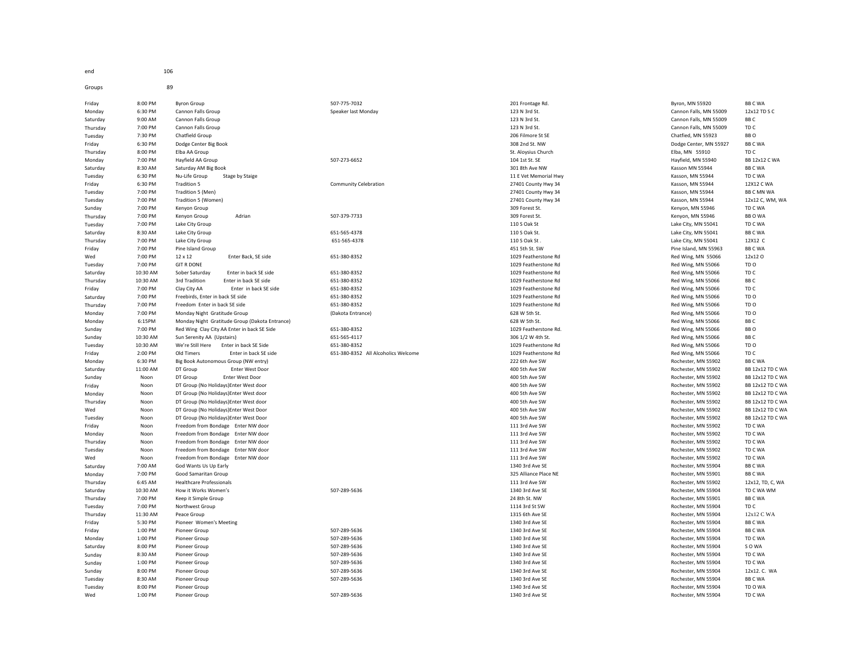end 106

Groups 89 Friday 8:00 PM Byron Group 507-775-7032 507-775-7032 507-775-7032 500 500 201 Frontage Rd. Byron, MN 55920 BB C WA Monday 6:30 PM Cannon Falls Group Speaker last Monday Speaker last Monday 123 N 3rd St. Cannon Falls, MN 55009 12x12 TD S C Saturday 9:00 AM Cannon Falls Group 123 N 3rd St. Cannon Falls, MN 55009 BB C Thursday 7:00 PM Cannon Falls Group 123 N 3rd St. Cannon Falls, MN 55009 TD C Tuesday 7:30 PM Chatfield Group 206 Filmore St SE 206 Filmore St SE 206 Filmore St SE Chatfied, MN 55923 BB O Friday 6:30 PM Dodge Center Big Book 308 2nd St. NW Dodge Center, MN 55927 BB C WA Thursday 8:00 PM Elba AA Group St. Aloysius Church Elba, MN 55910 TD C Monday 7:00 PM Hayfield AA Group the serve that the substantial server that the server of the server of the server of the server of the server of the server of the server of the server of the server of the server of the se Saturday 8:30 AM Saturday AM Big Book 301 8th Ave NW Kasson MN 55944 BB C WA Tuesday 6:30 PM Nu-Life Group Stage by Staige 11 Exercise 11 Even Memorial Hwy 11 Evet Memorial Hwy Kasson, MN 55944 TD C WA Friday 6:30 PM Tradition 5 Community Celebration 27401 County Hwy 34 Kasson, MN 55944 12X12 C WA Tuesday 7:00 PM Tradition 5 (Men) 27401 County Hwy 34 Kasson, MN 55944 BB C MN WA Tuesday 7:00 PM Tradition 5 (Women) 27401 County Hwy 34 Kasson, MN 55944 12x12 C, WM, WA Sunday 7:00 PM Kenyon Group 309 Forest St. Kenyon, MN 55946 TD C WA Thursday 7:00 PM Kenyon Group Adrian 507-379-7733 309 Forest St. Kenyon, MN 55946 BB O WA Tuesday 7:00 PM Lake City Group 110 S Oak St Lake City, MN 55041 TD C WA Saturday 8:30 AM Lake City Group 651-565-4378 110 S Oak St. Lake City, MN 55041 BB C WA Thursday 7:00 PM Lake City Group 651-565-4378 110 S Oak St . Lake City, MN 55041 12X12 C Friday 7:00 PM Pine Island Group 451 5th St. SW Pine Island, MN 55963 BB C WA Wed 7:00 PM 12 x 12 Enter Back, SE side 651-380-8352 651-380-8352 1029 Featherstone Rd Red Wing, MN 55066 12x12 O Tuesday 7:00 PM GIT R DONE 1029 Featherstone Rd Red Wing, MN 55066 TD O Saturday 10:30 AM Sober Saturday Enter in back SE side 651-380-8352 1029 Featherstone Rd Red Wing, MN 55066 TD C Thursday 10:30 AM 3rd Tradition Enter in back SE side 651-380-8352 651-380-8352 1029 Featherstone Rd Red Wing, MN 55066 BB C Friday 7:00 PM Clay City AA Enter in back SE side 651-380-8352 1029 Featherstone Rd Red Wing, MN 55066 TD C Saturday 7:00 PM Freebirds, Enter in back SE side 651-380-8352 651-380-8352 651-380-8352 Factherstone Rd Red Wing, MN 55066 TD O Thursday 7:00 PM Freedom Enter in back SE side 651-380-8352 651-380-8352 1029 Featherstone Rd Red Wing, MN 55066 TD O Monday 7:00 PM Monday Night Gratitude Group (Dakota Entrance) (Dakota Entrance) 628 W 5th St. 628 W 5th St. Red Wing, MN 55066 TD O Monday 6:15PM Monday Night Gratitude Group (Dakota Entrance) 638 W 5th St. 628 W 5th St. 628 W 5th St. Red Wing, MN 55066 BB C Sunday 7:00 PM Red Wing Clay City AA Enter in back SE Side 651-380-8352 6651-380-8352 1029 Featherstone Rd. Red Wing, MM 55066 BB O Sunday 10:30 AM Sun Serenity AA (Upstairs) 651-565-4117 306 1/2 W 4th St. Red Wing, MN 55066 BB C Tuesday 10:30 AM We're Still Here Enter in back SE Side 651-380-8352 651-380-8352 1029 Featherstone Rd Red Wing, MN 55066 TD O Friday 2:00 PM Old Timers Enter in back SE side 651-380-8352 All Alcoholics Welcome 1029 Featherstone Rd 1029 Featherstone Rd Red Wing, MN 55066 TD C<br>Monday 6:30 PM Rie Rook Autonomous Group (WW entry) AB C WA DE 1029 Red Monday 6:30 PM Big Book Autonomous Group (NW entry) 282 Auto 2022 6th Ave SW 222 6th Ave SW Rochester, MN 55902 BB C WA Saturday 11:00 AM DT Group Enter West Door 400 5th Ave SW Rochester, MN 55902 BB 12x12 TD C WA Sunday Noon DT Group Enter West Door 400 5th Ave SW Rochester, MN 55902 BB 12x12 TD C WA Friday Noon DT Group (No Holidays)Enter West door 400 5th Ave SW Rochester, MN 55902 BB 12x12 TD C WA Monday Noon DT Group (No Holidays)Enter West door and the state of the SM DESTINEER Are SW Holidays and the SM Holiday of the Monday Rochester, MN 55902 BB 12x12 TD C WA<br>And the Moon DT Group (No Holidays)Enter West door t Wed Noon DT Group (No Holidays)Enter West Door 400 5th Ave SW 400 5th Ave SW And The Rochester, MN 55902 BB 12x12 TD C WA Tuesday Noon DT Group (No Holidays)Enter West Door extends the state of the SW Apple of the SW Apple of the SW Rochester, MN 55902 BB 12x12 TD C WA Friday Moon Freedom from Bondage Enter NW door<br>Monday Noon Freedom from Bondage Enter NW door Noor Note to the SW Hart of the SW Hart Ave SW Rochester, MN 55902 TD C WA<br>Monday Noon Freedom from Bondage Enter NW door Monday Moon Freedom from Bondage Enter NW door<br>19 Moon Freedom from Bondage Enter NW door 111 3rd Ave SW 111 3rd Ave SW Northester, MN 55902 TD C WA Rochester, MN 55902 TD C WA<br>111 3rd Ave SW Rochester, MN 55902 TD C WA Thursday Noon Freedom from Bondage Enter NW door Tuesday Noon Freedom from Bondage Enter NW door Noon States of the State of the State of the State of the State SW Rochester, MN 55902 TD C WA<br>Noon Freedom from Bondage Enter NW door Noor 111 3rd Ave SW 111 3rd Ave SW 111 Wed Noon Freedom from Bondage Enter NW door 111 3rd Ave SW 111 3rd Ave SW 111 3rd Ave SW Rochester, MN 55902 TD C WA Saturday 7:00 AM God Wants Us Up Early 1340 3rd Ave SE Rochester, MN 55904 BB C WA Monday 7:00 PM Good Samaritan Group 3B C WA SAMARIA ALL AND STATE OF SAMARIA AND STATE OF SAMARIA AND STATE OF SAMARIA AND STATE OF SAMARIA AND STATE OF SAMARIA BB C WA Thursday 6:45 AM Healthcare Professionals 111 3rd Ave SW Rochester, MN 55902 12x12, TD, C, WA Saturday 10:30 AM How it Works Women's 507-289-5636 1340 3rd Ave SE Rochester, MN 55904 TD C WA WM Thursday 7:00 PM Keep it Simple Group 24 8th St. NW Rochester, MN 55901 BB C WA Tuesday 7:00 PM Northwest Group 1114 3rd St SW Rochester, MN 55904 TD C Thursday 11:30 AM Peace Group examples and the state of the state of the state of the SE Rochester, MN 55904 12x12 C WA Friday 5:30 PM Pioneer Women's Meeting 1340 3rd Ave SE Rochester, MN 55904 BB C WA Friday 1:00 PM Pioneer Group 507-289-5636 1340 3rd Ave SE Rochester, MN 55904 BB C WA Monday 1:00 PM Pioneer Group 507-289-5636 1340 3rd Ave SE Rochester, MN 55904 TD C WA Saturday 8:00 PM Pioneer Group 507-289-5636 1340 3rd Ave SE Rochester, MN 55904 5 O WA Sunday 8:30 AM Pioneer Group 10 - 1340 Sunday 507-289-5636 1340 3rd Ave SE 2012 3rd Ave SE 8:30 AM 55904 TD C WA Sunday 1:00 PM Pioneer Group 1:00 PM Pioneer Group 507-289-5636 507-289-5636 1340 3rd Ave SE 2014 2014 1340 3rd Ave SE 3rd Ave SE 2021 2021 1340 3rd Ave SE 2021 2021 1340 3rd Ave SE 2021 2021 1340 3rd Ave SE 2021 2021 2021 Sunday 8:00 PM Pioneer Group 12x12. C. WA Sunday 507-289-5636 1340 3rd Ave SE 2012 1340 3rd Ave SE 3140 3rd Ave SE Rochester, MN 55904 12x12. C. WA Tuesday 8:30 AM Pioneer Group 507-289-5636 1340 3rd Ave SE BB C WA Tuesday 8:00 PM Pioneer Group 1340 3rd Ave SE Rochester, MN 55904 TD O WA

DT Group (No Holidays)Enter West door and the state of the state of the SW and State of the SW Rochester, MN 55902 BB 12x12 TD C WA<br>And State (No Holidays)Enter West Door 400 5th Ave SW Ave SW Rochester, MN 55902 BB 12x12 Wed 1:00 PM Pioneer Group 507-289-5636 1340 3rd Ave SE Rochester, MN 55904 TD C WA